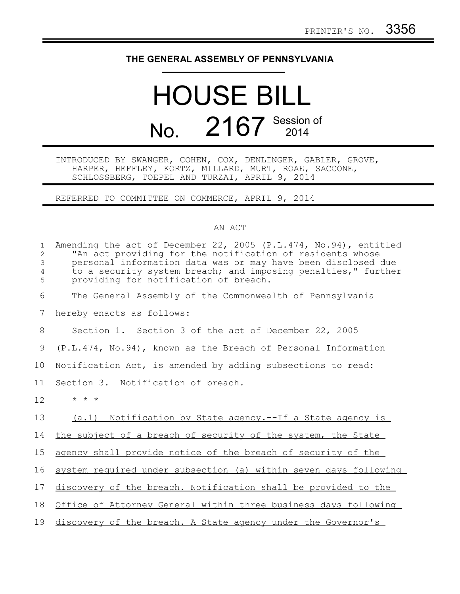## **THE GENERAL ASSEMBLY OF PENNSYLVANIA**

## HOUSE BILL No. 2167 Session of

INTRODUCED BY SWANGER, COHEN, COX, DENLINGER, GABLER, GROVE, HARPER, HEFFLEY, KORTZ, MILLARD, MURT, ROAE, SACCONE, SCHLOSSBERG, TOEPEL AND TURZAI, APRIL 9, 2014

REFERRED TO COMMITTEE ON COMMERCE, APRIL 9, 2014

## AN ACT

| $\mathbf{1}$<br>$\overline{2}$<br>$\mathfrak{Z}$<br>$\overline{4}$<br>5 | Amending the act of December 22, 2005 (P.L.474, No.94), entitled<br>"An act providing for the notification of residents whose<br>personal information data was or may have been disclosed due<br>to a security system breach; and imposing penalties," further<br>providing for notification of breach. |
|-------------------------------------------------------------------------|---------------------------------------------------------------------------------------------------------------------------------------------------------------------------------------------------------------------------------------------------------------------------------------------------------|
| 6                                                                       | The General Assembly of the Commonwealth of Pennsylvania                                                                                                                                                                                                                                                |
| 7                                                                       | hereby enacts as follows:                                                                                                                                                                                                                                                                               |
| 8                                                                       | Section 1. Section 3 of the act of December 22, 2005                                                                                                                                                                                                                                                    |
| 9                                                                       | (P.L.474, No.94), known as the Breach of Personal Information                                                                                                                                                                                                                                           |
| 10                                                                      | Notification Act, is amended by adding subsections to read:                                                                                                                                                                                                                                             |
| 11                                                                      | Section 3. Notification of breach.                                                                                                                                                                                                                                                                      |
| 12                                                                      | $\star$ $\star$ $\star$                                                                                                                                                                                                                                                                                 |
| 13                                                                      | (a.1) Notification by State agency.--If a State agency is                                                                                                                                                                                                                                               |
| 14                                                                      | the subject of a breach of security of the system, the State                                                                                                                                                                                                                                            |
| 15                                                                      | agency shall provide notice of the breach of security of the                                                                                                                                                                                                                                            |
| 16                                                                      | system required under subsection (a) within seven days following                                                                                                                                                                                                                                        |
| 17                                                                      | discovery of the breach. Notification shall be provided to the                                                                                                                                                                                                                                          |
| 18                                                                      | Office of Attorney General within three business days following                                                                                                                                                                                                                                         |
| 19                                                                      | discovery of the breach. A State agency under the Governor's                                                                                                                                                                                                                                            |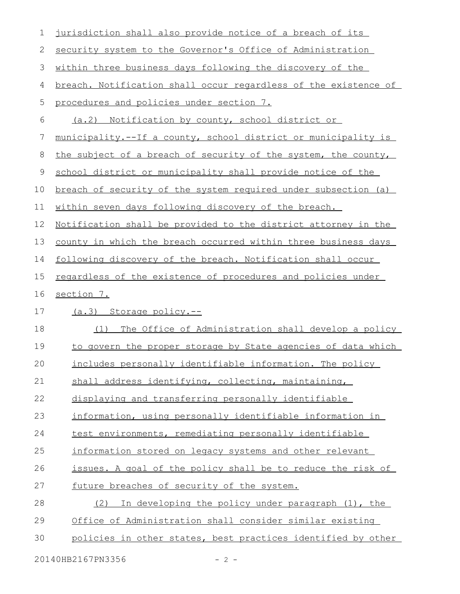| 1  | jurisdiction shall also provide notice of a breach of its             |
|----|-----------------------------------------------------------------------|
| 2  | security system to the Governor's Office of Administration            |
| 3  | within three business days following the discovery of the             |
| 4  | breach. Notification shall occur regardless of the existence of       |
| 5  | procedures and policies under section 7.                              |
| 6  | (a.2) Notification by county, school district or                      |
| 7  | municipality.--If a county, school district or municipality is        |
| 8  | the subject of a breach of security of the system, the county,        |
| 9  | school district or municipality shall provide notice of the           |
| 10 | breach of security of the system required under subsection (a)        |
| 11 | within seven days following discovery of the breach.                  |
| 12 | <u>Notification shall be provided to the district attorney in the</u> |
| 13 | county in which the breach occurred within three business days        |
| 14 | following discovery of the breach. Notification shall occur           |
| 15 | regardless of the existence of procedures and policies under          |
|    |                                                                       |
| 16 | section 7.                                                            |
| 17 | (a.3) Storage policy.--                                               |
| 18 | The Office of Administration shall develop a policy<br>(1)            |
| 19 | to govern the proper storage by State agencies of data which          |
| 20 | includes personally identifiable information. The policy              |
| 21 | shall address identifying, collecting, maintaining,                   |
| 22 | displaying and transferring personally identifiable                   |
| 23 | information, using personally identifiable information in             |
| 24 | test environments, remediating personally identifiable                |
| 25 | information stored on legacy systems and other relevant               |
| 26 | issues. A goal of the policy shall be to reduce the risk of           |
| 27 | future breaches of security of the system.                            |
| 28 | (2) In developing the policy under paragraph (1), the                 |
| 29 | Office of Administration shall consider similar existing              |
| 30 | policies in other states, best practices identified by other          |